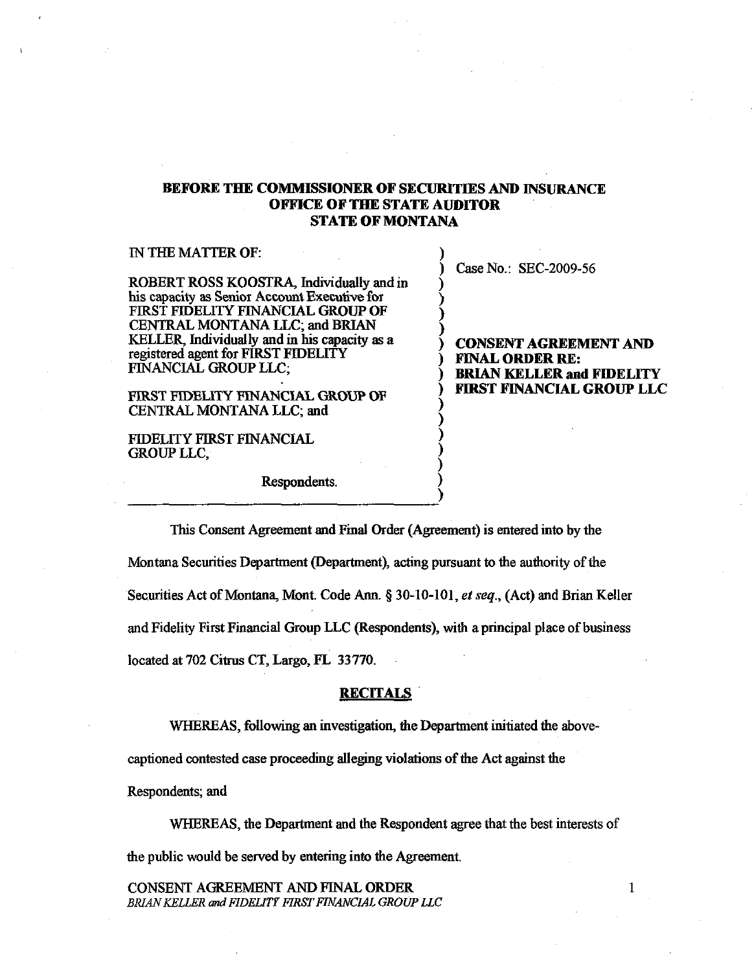# BEFORE THE COMMISSIONER OF SECURlTIES AND INSURANCE OFFICE OF THE STATE AUDITOR STATE OF MONTANA

| IN THE MATTER OF:                                                                                                                                                                                                                          |                                                                      |
|--------------------------------------------------------------------------------------------------------------------------------------------------------------------------------------------------------------------------------------------|----------------------------------------------------------------------|
| ROBERT ROSS KOOSTRA, Individually and in                                                                                                                                                                                                   | Case No.: SEC-2009-56                                                |
| his capacity as Senior Account Executive for<br>FIRST FIDELITY FINANCIAL GROUP OF<br><b>CENTRAL MONTANA LLC; and BRIAN</b><br>KELLER, Individually and in his capacity as a<br>registered agent for FIRST FIDELITY<br>FINANCIAL GROUP LLC. | <b>CONSENT AGREEMENT AND</b><br><b>FINAL ORDER RE:</b>               |
| FIRST FIDELITY FINANCIAL GROUP OF<br>CENTRAL MONTANA LLC; and                                                                                                                                                                              | <b>BRIAN KELLER and FIDELITY</b><br><b>FIRST FINANCIAL GROUP LLC</b> |
| FIDELITY FIRST FINANCIAL<br>GROUP LLC.                                                                                                                                                                                                     |                                                                      |

)

Respondents. )

--------~--------------~)

This Consent Agreement and Final Order (Agreement) is entered into by the MOntana Securities Department (Department), acting pursuant to the authority of the Securities Act of Montana, Mont. Code Ann. § 30-10-101, *et seq.,* (Act) and Brian Keller and Fidelity First Financial Group LLC (Respondents), with a principal place of business located at 702 Citrus CT, Largo, FL 33770.

# **RECITALS**

WHEREAS, following an investigation, the Department initiated the above-

captioned contested case proceeding alleging violations of the Act against the

Respondents; and

WHEREAS, the Department and the Respondent agree that the best interests of the public would be served by entering into the Agreement.

CONSENT AGREEMENT AND FINAL ORDER *BRIAN KELLER* and *FIDEliTY FIRST FINANCIAL GROUP LLC*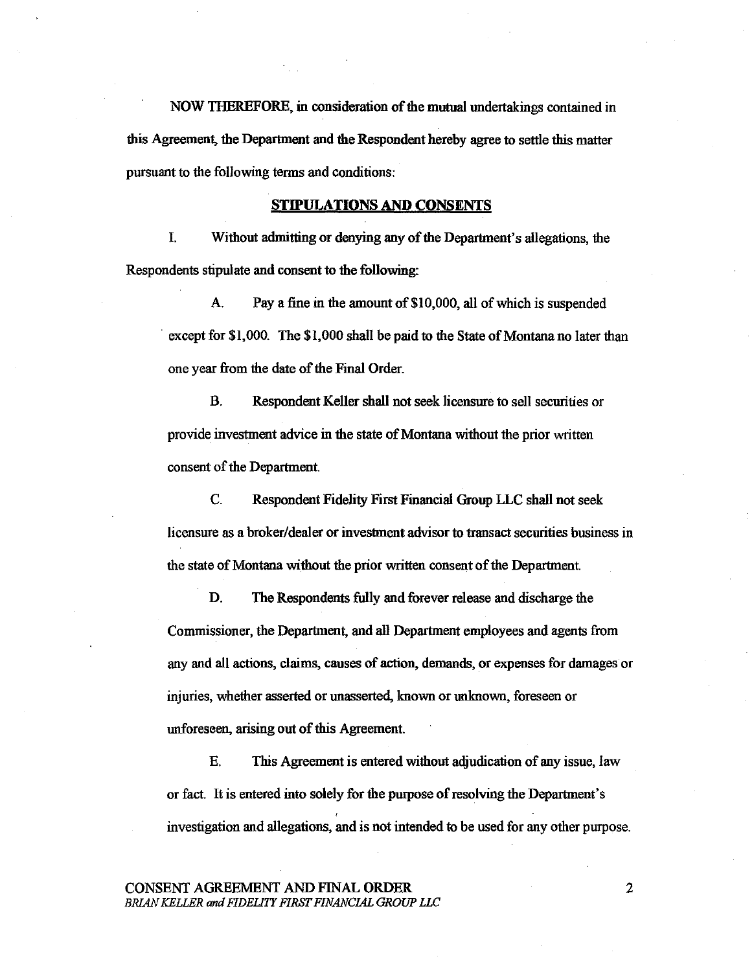NOW THEREFORE, in consideration of the mutual undertakings contained in this Agreement, the Department and the Respondent hereby agree to settle this matter pursuant to the following terms and conditions:

# STIPULATIONS AND CONSENTS

I. Without admitting or denying any of the Department's allegations, the Respondents stipulate and consent to the following:

A. Pay a fine in the amount of \$10,000, all of which is suspended except for \$1,000. The \$1,000 shall be paid to the State of Montana no later than one year from the date of the Final Order.

B. Respondent Keller shall not seek licensure to sell securities or provide investment advice in the state of Montana without the prior written consent of the Department

C. Respondent Fidelity First Financial Group LLC shall not seek licensure as a broker/dealer or investment advisor to transact securities business in the state of Montana without the prior written consent of the Department.

D. The Respondents fully and forever release and discharge the Commissioner, the Department, and all Department employees and agents from any and all actions, claims, canses of action, demands, or expenses for damages or injuries, whether asserted or unasserted, known or unknown, foreseen or unforeseen, arising out of this Agreement

E. This Agreement is entered without adjudication of any issue, law or fact. It is entered into solely for the purpose of resolving the Department's investigation and allegations, and is not intended to be used for any other purpose.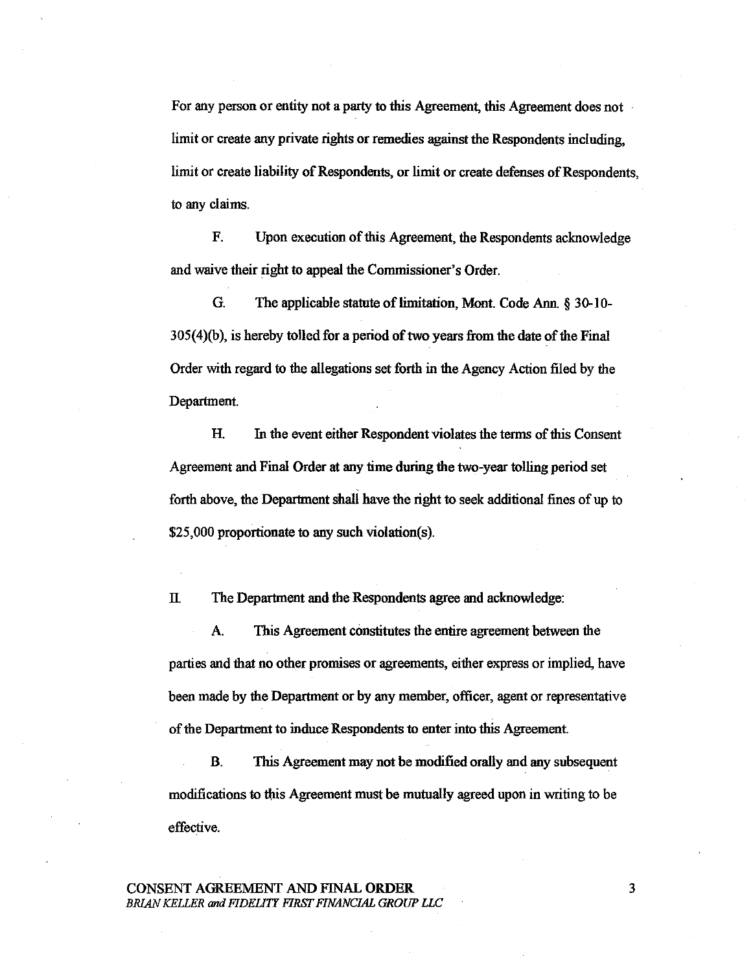For any person or entity not a party to this Agreement, this Agreement does not limit or create any private rights or remedies against the Respondents including. limit or create liability of Respondents, or limit or create defenses of Respondents, to any claims.

F. Upon execution of this Agreement, the Respondents acknowledge and waive their right to appeal the Commissioner's Order.

G. The applicable statute of limitation, Mont. Code Ann. § 30-10- 305(4)(b), is hereby tolled for a period of two years from the date of the Final Order with regard to the allegations set forth in the Agency Action filed by the Department.

H. In the event either Respondent violates the terms of this Consent Agreement and Final Order at any time during the two-year tolling period set forth above, the Department shall have the right to seek additional fines of up to \$25,000 proportionate to any such violation(s).

II. The Department and the Respondents agree and acknowledge:

A. This Agreement constitutes the entire agreement between the parties and that no other promises or agreements, either express or implied, have been made by the Department or by any member, officer, agent or representative of the Department to induce Respondents to enter into this Agreement.

B. This Agreement may not be modified orally and any subsequent modifications to this Agreement must be mutually agreed upon in writing to be effective.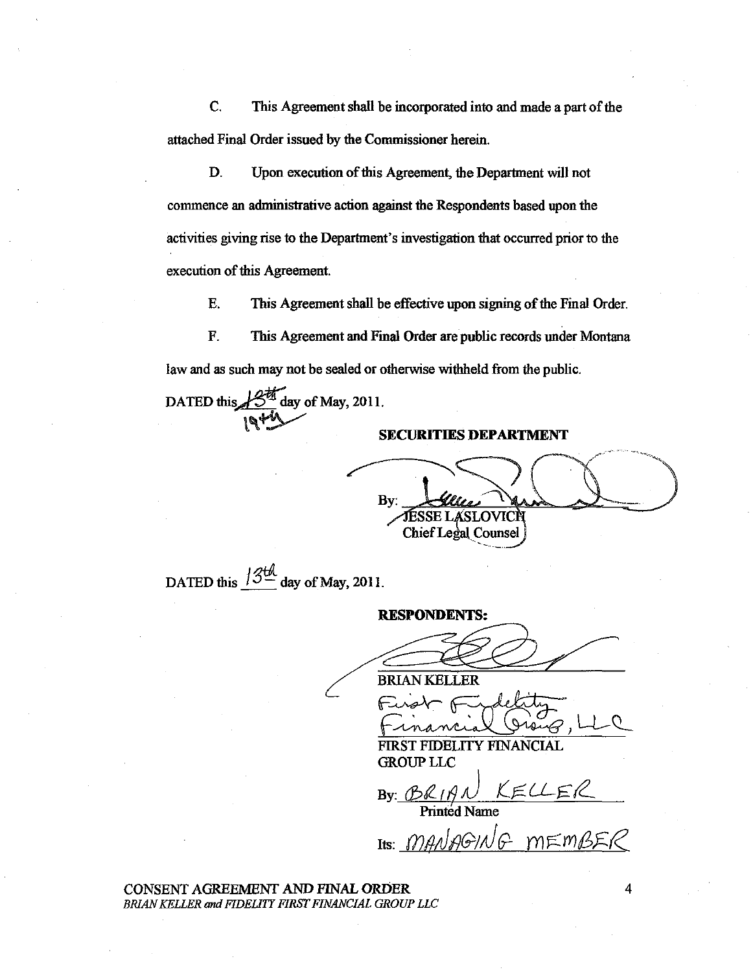C. This Agreement shall be incorporated into and made a part of the attached Final Order issued by the Commissioner herein.

D. Upon execution of this Agreement, the Department will not commence an administrative action against the Respondents based upon the activities giving rise to the Department's investigation that occurred prior to the execution of this Agreement.

E. This Agreement shall be effective upon signing of the Final Order.

F. This Agreement and Final Order are public records under Montana law and as such may not be sealed or otherwise withheld from the public.

DATED this  $\mathcal{B}^{\frac{64}{2}}$  day of May, 2011.

### **SECURITIES DEPARTMENT**

 $\frac{By}{S}$  -  $\frac{C}{T}$ Chief Legal Counsel By TESSE LASLOVICH<br>Chief Legal Counsel<br>May, 2011.<br>RESPONDENTS:<br>EXAN KELLER<br>FUNAN KELLER<br>FUNAN KELLER<br>FUNAN KELLER<br>FUNAN KELLER

DATED this  $\frac{13\frac{1}{2}}{4}$  day of May, 2011.

**RESPONDENTS:** 

Financial Group, LLC

FIRST FIDELITY FINANCIAL **GROUP LLC** 

 $By: BRf and KEUER$ 

Printed Name

Its: *MANAGING* mEMBER

CONSENT AGREEMENT AND FINAL ORDER *BRIAN KELLER and FIDEllTY FIRST FINANCIAL GROUP LLC*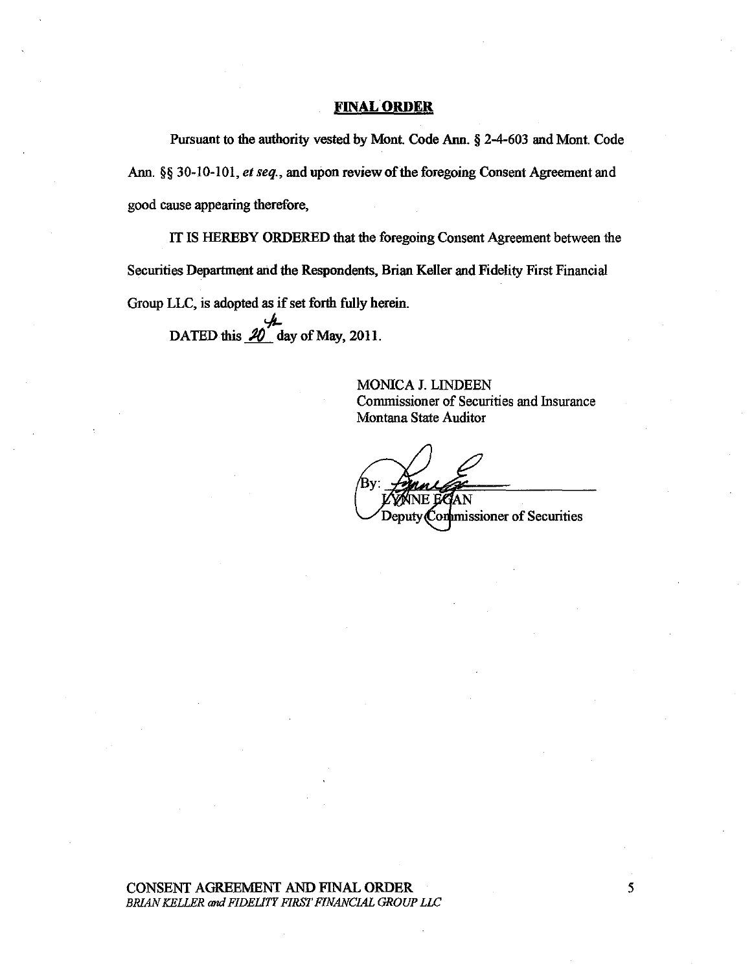### **FINAL ORDER**

Pursuant to the authority vested by Mont. Code Ann. § 2-4-603 and Mont. Code Ann. §§ 30-10-101, et seq., and upon review of the foregoing Consent Agreement and good cause appearing therefore,

IT IS HEREBY ORDERED that the foregoing Consent Agreement between the Securities Department and the Respondents, Brian Keller and Fidelity First Financial Group LLC, is adopted as if set forth fully herein. DATED this  $\frac{20}{\sqrt{2}}$  day of May, 2011.

> MONICA J. LINDEEN Commissioner of Securities and Insurance Montana State Auditor

Deputy Commissioner of Securities